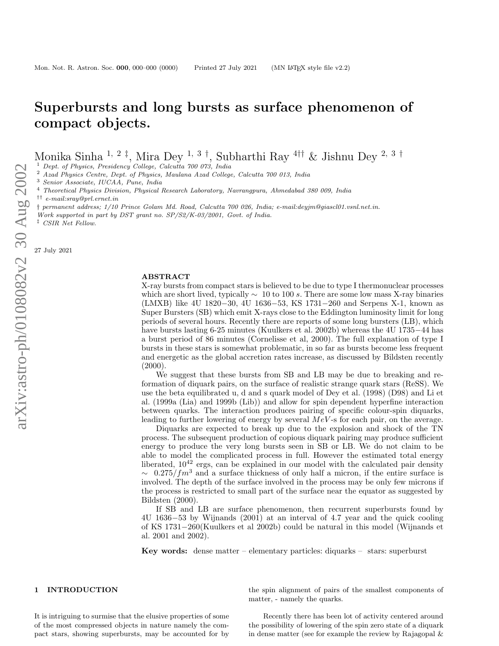# Superbursts and long bursts as surface phenomenon of compact objects.

Monika Sinha <sup>1, 2‡</sup>, Mira Dey <sup>1, 3†</sup>, Subharthi Ray <sup>4††</sup> & Jishnu Dey <sup>2, 3†</sup>

 $\begin{array}{l} \text{1\;\;Depth\;\; of Physics, Presidenter, College, Calculate 700\;\;073, India} \\ \text{2\;\;Azad Physics Centre, Dept. of Physics, Maulana Azad College, Calculate 700\;\;013, India} \\ \text{3\;\;Senior Association, Physical Research Laboratory, Navrangpura, Ahmedabad 380\;\;009, India} \end{array}$ 

†† *e-mail:sray@prl.ernet.in*

† *permanent address; 1/10 Prince Golam Md. Road, Calcutta 700 026, India; e-mail:deyjm@giascl01.vsnl.net.in.*

*Work supported in part by DST grant no. SP/S2/K-03/2001, Govt. of India.*

‡ *CSIR Net Fellow.*

27 July 2021

#### ABSTRACT

X-ray bursts from compact stars is believed to be due to type I thermonuclear processes which are short lived, typically  $\sim 10$  to 100 s. There are some low mass X-ray binaries (LMXB) like 4U 1820–30, 4U 1636–53, KS 1731–260 and Serpens X-1, known as Super Bursters (SB) which emit X-rays close to the Eddington luminosity limit for long periods of several hours. Recently there are reports of some long bursters (LB), which have bursts lasting 6-25 minutes (Kuulkers et al. 2002b) whereas the 4U 1735 −44 has a burst period of 86 minutes (Cornelisse et al, 2000). The full explanation of type I bursts in these stars is somewhat problematic, in so far as bursts become less frequent and energetic as the global accretion rates increase, as discussed by Bildsten recently  $(2000).$ 

We suggest that these bursts from SB and LB may be due to breaking and reformation of diquark pairs, on the surface of realistic strange quark stars (ReSS). We use the beta equilibrated u, d and s quark model of Dey et al. (1998) (D98) and Li et al. (1999a (Lia) and 1999b (Lib)) and allow for spin dependent hyperfine interaction between quarks. The interaction produces pairing of specific colour-spin diquarks, leading to further lowering of energy by several  $MeV$ -s for each pair, on the average.

Diquarks are expected to break up due to the explosion and shock of the TN process. The subsequent production of copious diquark pairing may produce sufficient energy to produce the very long bursts seen in SB or LB. We do not claim to be able to model the complicated process in full. However the estimated total energy liberated,  $10^{42}$  ergs, can be explained in our model with the calculated pair density  $\sim 0.275/fm^3$  and a surface thickness of only half a micron, if the entire surface is involved. The depth of the surface involved in the process may be only few microns if the process is restricted to small part of the surface near the equator as suggested by Bildsten (2000).

If SB and LB are surface phenomenon, then recurrent superbursts found by 4U 1636 −53 by Wijnands (2001) at an interval of 4.7 year and the quick cooling of KS 1731 −260(Kuulkers et al 2002b) could be natural in this model (Wijnands et al. 2001 and 2002).

Key words: dense matter – elementary particles: diquarks – stars: superburst

## 1 INTRODUCTION

It is intriguing to surmise that the elusive properties of some of the most compressed objects in nature namely the compact stars, showing superbursts, may be accounted for by the spin alignment of pairs of the smallest components of matter, - namely the quarks.

Recently there has been lot of activity centered around the possibility of lowering of the spin zero state of a diquar k in dense matter (see for example the review by Rajagopal &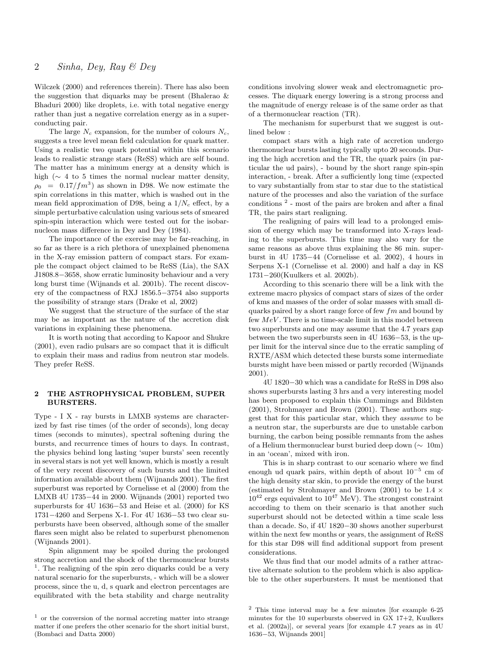Wilczek (2000) and references therein). There has also been the suggestion that diquarks may be present (Bhalerao & Bhaduri 2000) like droplets, i.e. with total negative energy rather than just a negative correlation energy as in a superconducting pair.

The large  $N_c$  expansion, for the number of colours  $N_c$ , suggests a tree level mean field calculation for quark matter. Using a realistic two quark potential within this scenario leads to realistic strange stars (ReSS) which are self bound. The matter has a minimum energy at a density which is high ( $\sim$  4 to 5 times the normal nuclear matter density,  $\rho_0 = 0.17/fm^3$  as shown in D98. We now estimate the spin correlations in this matter, which is washed out in the mean field approximation of D98, being a  $1/N_c$  effect, by a simple perturbative calculation using various sets of smeared spin-spin interaction which were tested out for the isobarnucleon mass difference in Dey and Dey (1984).

The importance of the exercise may be far-reaching, in so far as there is a rich plethora of unexplained phenomena in the X-ray emission pattern of compact stars. For example the compact object claimed to be ReSS (Lia), the SAX J1808.8−3658, show erratic luminosity behaviour and a very long burst time (Wijnands et al. 2001b). The recent discovery of the compactness of RXJ 1856.5−3754 also supports the possibility of strange stars (Drake et al, 2002)

We suggest that the structure of the surface of the star may be as important as the nature of the accretion disk variations in explaining these phenomena.

It is worth noting that according to Kapoor and Shukre (2001), even radio pulsars are so compact that it is difficult to explain their mass and radius from neutron star models. They prefer ReSS.

## 2 THE ASTROPHYSICAL PROBLEM, SUPER BURSTERS.

Type - I X - ray bursts in LMXB systems are characterized by fast rise times (of the order of seconds), long decay times (seconds to minutes), spectral softening during the bursts, and recurrence times of hours to days. In contrast, the physics behind long lasting 'super bursts' seen recently in several stars is not yet well known, which is mostly a result of the very recent discovery of such bursts and the limited information available about them (Wijnands 2001). The first superburst was reported by Cornelisse et al (2000) from the LMXB 4U 1735−44 in 2000. Wijnands (2001) reported two superbursts for 4U 1636−53 and Heise et al. (2000) for KS 1731−4260 and Serpens X-1. For 4U 1636−53 two clear superbursts have been observed, although some of the smaller flares seen might also be related to superburst phenomenon (Wijnands 2001).

Spin alignment may be spoiled during the prolonged strong accretion and the shock of the thermonuclear bursts <sup>1</sup>. The realigning of the spin zero diquarks could be a very natural scenario for the superbursts, - which will be a slower process, since the u, d, s quark and electron percentages are equilibrated with the beta stability and charge neutrality

conditions involving slower weak and electromagnetic processes. The diquark energy lowering is a strong process and the magnitude of energy release is of the same order as that of a thermonuclear reaction (TR).

The mechanism for superburst that we suggest is outlined below :

compact stars with a high rate of accretion undergo thermonuclear bursts lasting typically upto 20 seconds. During the high accretion and the TR, the quark pairs (in particular the ud pairs), - bound by the short range spin-spin interaction, - break. After a sufficiently long time (expected to vary substantially from star to star due to the statistical nature of the processes and also the variation of the surface conditions  $2$  - most of the pairs are broken and after a final TR, the pairs start realigning.

The realigning of pairs will lead to a prolonged emission of energy which may be transformed into X-rays leading to the superbursts. This time may also vary for the same reasons as above thus explaining the 86 min. superburst in 4U 1735−44 (Cornelisse et al. 2002), 4 hours in Serpens X-1 (Cornelisse et al. 2000) and half a day in KS 1731−260(Kuulkers et al. 2002b).

According to this scenario there will be a link with the extreme macro physics of compact stars of sizes of the order of kms and masses of the order of solar masses with small diquarks paired by a short range force of few  $fm$  and bound by few  $MeV$ . There is no time-scale limit in this model between two superbursts and one may assume that the 4.7 years gap between the two superbursts seen in 4U 1636−53, is the upper limit for the interval since due to the erratic sampling of RXTE/ASM which detected these bursts some intermediate bursts might have been missed or partly recorded (Wijnands 2001).

4U 1820−30 which was a candidate for ReSS in D98 also shows superbursts lasting 3 hrs and a very interesting model has been proposed to explain this Cummings and Bildsten (2001), Strohmayer and Brown (2001). These authors suggest that for this particular star, which they assume to be a neutron star, the superbursts are due to unstable carbon burning, the carbon being possible remnants from the ashes of a Helium thermonuclear burst buried deep down (∼ 10m) in an 'ocean', mixed with iron.

This is in sharp contrast to our scenario where we find enough ud quark pairs, within depth of about  $10^{-5}$  cm of the high density star skin, to provide the energy of the burst (estimated by Strohmayer and Brown (2001) to be  $1.4 \times$  $10^{42}$  ergs equivalent to  $10^{47}$  MeV). The strongest constraint according to them on their scenario is that another such superburst should not be detected within a time scale less than a decade. So, if 4U 1820−30 shows another superburst within the next few months or years, the assignment of ReSS for this star D98 will find additional support from present considerations.

We thus find that our model admits of a rather attractive alternate solution to the problem which is also applicable to the other superbursters. It must be mentioned that

 $1$  or the conversion of the normal accreting matter into strange matter if one prefers the other scenario for the short initial burst, (Bombaci and Datta 2000)

<sup>2</sup> This time interval may be a few minutes [for example 6-25 minutes for the 10 superbursts observed in GX 17+2, Kuulkers et al. (2002a)], or several years [for example 4.7 years as in 4U 1636−53, Wijnands 2001]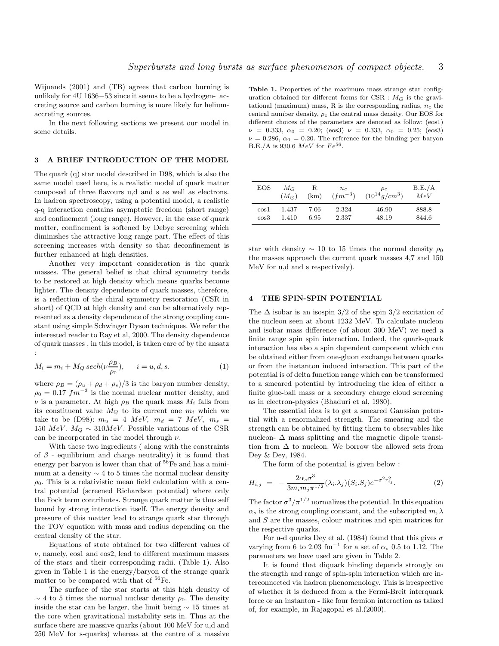Wijnands (2001) and (TB) agrees that carbon burning is unlikely for 4U 1636−53 since it seems to be a hydrogen- accreting source and carbon burning is more likely for heliumaccreting sources.

In the next following sections we present our model in some details.

## 3 A BRIEF INTRODUCTION OF THE MODEL

The quark (q) star model described in D98, which is also the same model used here, is a realistic model of quark matter composed of three flavours u,d and s as well as electrons. In hadron spectroscopy, using a potential model, a realistic q-q interaction contains asymptotic freedom (short range) and confinement (long range). However, in the case of quark matter, confinement is softened by Debye screening which diminishes the attractive long range part. The effect of this screening increases with density so that deconfinement is further enhanced at high densities.

Another very important consideration is the quark masses. The general belief is that chiral symmetry tends to be restored at high density which means quarks become lighter. The density dependence of quark masses, therefore, is a reflection of the chiral symmetry restoration (CSR in short) of QCD at high density and can be alternatively represented as a density dependence of the strong coupling constant using simple Schwinger Dyson techniques. We refer the interested reader to Ray et al, 2000. The density dependence of quark masses , in this model, is taken care of by the ansatz :

$$
M_i = m_i + M_Q \, sech(\nu \frac{\rho_B}{\rho_0}), \qquad i = u, d, s. \tag{1}
$$

where  $\rho_B = (\rho_u + \rho_d + \rho_s)/3$  is the baryon number density,  $\rho_0 = 0.17$  fm<sup>-3</sup> is the normal nuclear matter density, and  $\nu$  is a parameter. At high  $\rho_B$  the quark mass  $M_i$  falls from its constituent value  $M_Q$  to its current one  $m_i$  which we take to be (D98):  $m_u = 4 \; MeV$ ,  $m_d = 7 \; MeV$ ,  $m_s =$ 150  $MeV$ .  $M_Q \sim 310 MeV$ . Possible variations of the CSR can be incorporated in the model through  $\nu$ .

With these two ingredients ( along with the constraints of  $\beta$  - equilibrium and charge neutrality) it is found that energy per baryon is lower than that of  ${}^{56}Fe$  and has a minimum at a density  $\sim$  4 to 5 times the normal nuclear density  $\rho_0$ . This is a relativistic mean field calculation with a central potential (screened Richardson potential) where only the Fock term contributes. Strange quark matter is thus self bound by strong interaction itself. The energy density and pressure of this matter lead to strange quark star through the TOV equation with mass and radius depending on the central density of the star.

Equations of state obtained for two different values of  $\nu$ , namely, eos1 and eos2, lead to different maximum masses of the stars and their corresponding radii. (Table 1). Also given in Table 1 is the energy/baryon of the strange quark matter to be compared with that of  ${}^{56}Fe$ .

The surface of the star starts at this high density of  $\sim$  4 to 5 times the normal nuclear density  $\rho_0$ . The density inside the star can be larger, the limit being  $\sim$  15 times at the core when gravitational instability sets in. Thus at the surface there are massive quarks (about 100 MeV for u,d and 250 MeV for s-quarks) whereas at the centre of a massive

Table 1. Properties of the maximum mass strange star configuration obtained for different forms for CSR :  $M_G$  is the gravitational (maximum) mass, R is the corresponding radius,  $n_c$  the central number density,  $\rho_c$  the central mass density. Our EOS for different choices of the parameters are denoted as follow: (eos1)  $\nu = 0.333, \ \alpha_0 = 0.20; \ \text{(eos)} \ \nu = 0.333, \ \alpha_0 = 0.25; \ \text{(eos)}$  $\nu = 0.286, \ \alpha_0 = 0.20.$  The reference for the binding per baryon B.E./A is 930.6  $MeV$  for  $Fe^{56}$ .

| EOS      | $M_G$         | R    | $n_{c}$     | $\rho_c$           | B.E./A |
|----------|---------------|------|-------------|--------------------|--------|
|          | $(M_{\odot})$ | (km) | $(fm^{-3})$ | $(10^{14} g/cm^3)$ | MeV    |
| $\cos 1$ | 1.437         | 7.06 | 2.324       | 46.90              | 888.8  |
| eos3     | 1.410         | 6.95 | 2.337       | 48.19              | 844.6  |

star with density  $\sim$  10 to 15 times the normal density  $\rho_0$ the masses approach the current quark masses 4,7 and 150 MeV for u,d and s respectively).

#### 4 THE SPIN-SPIN POTENTIAL

The  $\Delta$  isobar is an isospin 3/2 of the spin 3/2 excitation of the nucleon seen at about 1232 MeV. To calculate nucleon and isobar mass difference (of about 300 MeV) we need a finite range spin spin interaction. Indeed, the quark-quark interaction has also a spin dependent component which can be obtained either from one-gluon exchange between quarks or from the instanton induced interaction. This part of the potential is of delta function range which can be transformed to a smeared potential by introducing the idea of either a finite glue-ball mass or a secondary charge cloud screening as in electron-physics (Bhaduri et al, 1980).

The essential idea is to get a smeared Gaussian potential with a renormalized strength. The smearing and the strength can be obtained by fitting them to observables like nucleon-  $\Delta$  mass splitting and the magnetic dipole transition from  $\Delta$  to nucleon. We borrow the allowed sets from Dey & Dey, 1984.

The form of the potential is given below :

$$
H_{i,j} = -\frac{2\alpha_s \sigma^3}{3m_i m_j \pi^{1/2}} (\lambda_i \cdot \lambda_j) (S_i \cdot S_j) e^{-\sigma^2 r_{ij}^2}.
$$
 (2)

The factor  $\sigma^3/\pi^{1/2}$  normalizes the potential. In this equation  $\alpha_s$  is the strong coupling constant, and the subscripted  $m, \lambda$ and S are the masses, colour matrices and spin matrices for the respective quarks.

For u-d quarks Dey et al. (1984) found that this gives  $\sigma$ varying from 6 to 2.03 fm<sup>-1</sup> for a set of  $\alpha_s$  0.5 to 1.12. The parameters we have used are given in Table 2.

It is found that diquark binding depends strongly on the strength and range of spin-spin interaction which are interconnected via hadron phenomenology. This is irrespective of whether it is deduced from a the Fermi-Breit interquark force or an instanton - like four fermion interaction as talked of, for example, in Rajagopal et al.(2000).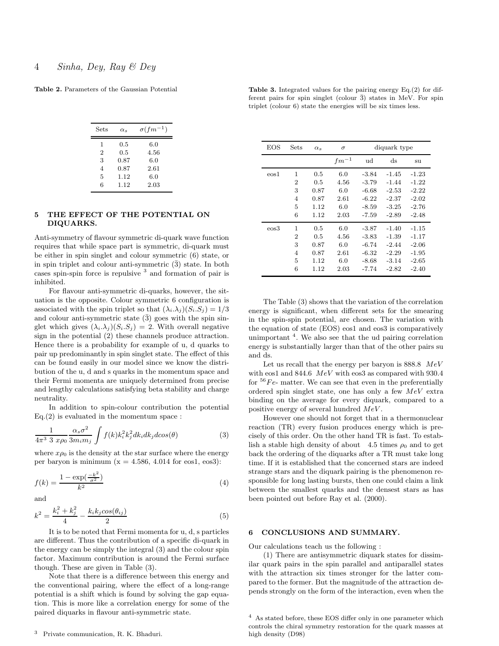Table 2. Parameters of the Gaussian Potential

| Sets           | $\alpha_s$ | $\sigma(fm^{-1})$ |
|----------------|------------|-------------------|
| 1              | 0.5        | 6.0               |
| $\overline{2}$ | 0.5        | 4.56              |
| 3              | 0.87       | 6.0               |
| $\overline{4}$ | 0.87       | 2.61              |
| 5              | 1.12       | 6.0               |
| 6              | 1.12       | 2.03              |

# 5 THE EFFECT OF THE POTENTIAL ON DIQUARKS.

Anti-symmetry of flavour symmetric di-quark wave function requires that while space part is symmetric, di-quark must be either in spin singlet and colour symmetric (6) state, or in spin triplet and colour anti-symmetric  $(\bar{3})$  state. In both cases spin-spin force is repulsive <sup>3</sup> and formation of pair is inhibited.

For flavour anti-symmetric di-quarks, however, the situation is the opposite. Colour symmetric 6 configuration is associated with the spin triplet so that  $(\lambda_i \lambda_j)(S_i S_j) = 1/3$ and colour anti-symmetric state  $(\bar{3})$  goes with the spin singlet which gives  $(\lambda_i \cdot \lambda_j)(S_i S_j) = 2$ . With overall negative sign in the potential (2) these channels produce attraction. Hence there is a probability for example of u, d quarks to pair up predominantly in spin singlet state. The effect of this can be found easily in our model since we know the distribution of the u, d and s quarks in the momentum space and their Fermi momenta are uniquely determined from precise and lengthy calculations satisfying beta stability and charge neutrality.

In addition to spin-colour contribution the potential  $Eq.(2)$  is evaluated in the momentum space :

$$
\frac{1}{4\pi^3 \ 3 \ x\rho_0} \frac{\alpha_s \sigma^2}{3m_i m_j} \int f(k) k_i^2 k_j^2 dk_i dk_j d\cos(\theta) \tag{3}
$$

where  $x\rho_0$  is the density at the star surface where the energy per baryon is minimum  $(x = 4.586, 4.014$  for eos1, eos3):

$$
f(k) = \frac{1 - \exp(\frac{-k^2}{\sigma^2})}{k^2}
$$
\n(4)

and

$$
k^{2} = \frac{k_{i}^{2} + k_{j}^{2}}{4} - \frac{k_{i}k_{j}cos(\theta_{ij})}{2}
$$
 (5)

It is to be noted that Fermi momenta for u, d, s particles are different. Thus the contribution of a specific di-quark in the energy can be simply the integral (3) and the colour spin factor. Maximum contribution is around the Fermi surface though. These are given in Table (3).

Note that there is a difference between this energy and the conventional pairing, where the effect of a long-range potential is a shift which is found by solving the gap equation. This is more like a correlation energy for some of the paired diquarks in flavour anti-symmetric state.

|  |  | <b>Table 3.</b> Integrated values for the pairing energy $Eq.(2)$ for dif- |  |  |  |  |
|--|--|----------------------------------------------------------------------------|--|--|--|--|
|  |  | ferent pairs for spin singlet (colour $\bar{3}$ ) states in MeV. For spin  |  |  |  |  |
|  |  | triplet (colour 6) state the energies will be six times less.              |  |  |  |  |

| <b>EOS</b> | Sets           | $\alpha_s$ | $\sigma$  | diquark type |         |         |  |  |  |
|------------|----------------|------------|-----------|--------------|---------|---------|--|--|--|
|            |                |            | $fm^{-1}$ | ud           | ds      | su      |  |  |  |
| $\cos 1$   | 1              | 0.5        | 6.0       | $-3.84$      | $-1.45$ | $-1.23$ |  |  |  |
|            | $\overline{2}$ | 0.5        | 4.56      | $-3.79$      | $-1.44$ | $-1.22$ |  |  |  |
|            | 3              | 0.87       | 6.0       | $-6.68$      | $-2.53$ | $-2.22$ |  |  |  |
|            | 4              | 0.87       | 2.61      | $-6.22$      | $-2.37$ | $-2.02$ |  |  |  |
|            | 5              | 1.12       | 6.0       | $-8.59$      | $-3.25$ | $-2.76$ |  |  |  |
|            | 6              | 1.12       | 2.03      | $-7.59$      | $-2.89$ | $-2.48$ |  |  |  |
| $\cos 3$   | 1              | 0.5        | 6.0       | $-3.87$      | $-1.40$ | $-1.15$ |  |  |  |
|            | $\overline{2}$ | 0.5        | 4.56      | $-3.83$      | $-1.39$ | $-1.17$ |  |  |  |
|            | 3              | 0.87       | 6.0       | $-6.74$      | $-2.44$ | $-2.06$ |  |  |  |
|            | 4              | 0.87       | 2.61      | $-6.32$      | $-2.29$ | $-1.95$ |  |  |  |
|            | 5              | 1.12       | 6.0       | $-8.68$      | $-3.14$ | $-2.65$ |  |  |  |
|            | 6              | 1.12       | 2.03      | $-7.74$      | $-2.82$ | $-2.40$ |  |  |  |

The Table (3) shows that the variation of the correlation energy is significant, when different sets for the smearing in the spin-spin potential, are chosen. The variation with the equation of state (EOS) eos1 and eos3 is comparatively unimportant <sup>4</sup>. We also see that the ud pairing correlation energy is substantially larger than that of the other pairs su and ds.

Let us recall that the energy per baryon is  $888.8$  MeV with eos1 and 844.6 MeV with eos3 as compared with 930.4 for  $56Fe$ - matter. We can see that even in the preferentially ordered spin singlet state, one has only a few  $MeV$  extra binding on the average for every diquark, compared to a positive energy of several hundred  $MeV$ .

However one should not forget that in a thermonuclear reaction (TR) every fusion produces energy which is precisely of this order. On the other hand TR is fast. To establish a stable high density of about 4.5 times  $\rho_0$  and to get back the ordering of the diquarks after a TR must take long time. If it is established that the concerned stars are indeed strange stars and the diquark pairing is the phenomenon responsible for long lasting bursts, then one could claim a link between the smallest quarks and the densest stars as has been pointed out before Ray et al. (2000).

## 6 CONCLUSIONS AND SUMMARY.

Our calculations teach us the following :

(1) There are antisymmetric diquark states for dissimilar quark pairs in the spin parallel and antiparallel states with the attraction six times stronger for the latter compared to the former. But the magnitude of the attraction depends strongly on the form of the interaction, even when the

<sup>4</sup> As stated before, these EOS differ only in one parameter which controls the chiral symmetry restoration for the quark masses at high density (D98)